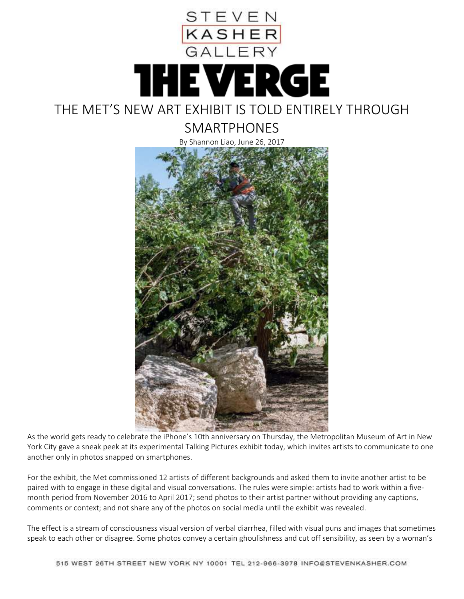

SMARTPHONES



As the world gets ready to celebrate the iPhone's 10th anniversary on Thursday, the Metropolitan Museum of Art in New York City gave a sneak peek at its experimental Talking Pictures exhibit today, which invites artists to communicate to one another only in photos snapped on smartphones.

For the exhibit, the Met commissioned 12 artists of different backgrounds and asked them to invite another artist to be paired with to engage in these digital and visual conversations. The rules were simple: artists had to work within a fivemonth period from November 2016 to April 2017; send photos to their artist partner without providing any captions, comments or context; and not share any of the photos on social media until the exhibit was revealed.

The effect is a stream of consciousness visual version of verbal diarrhea, filled with visual puns and images that sometimes speak to each other or disagree. Some photos convey a certain ghoulishness and cut off sensibility, as seen by a woman's